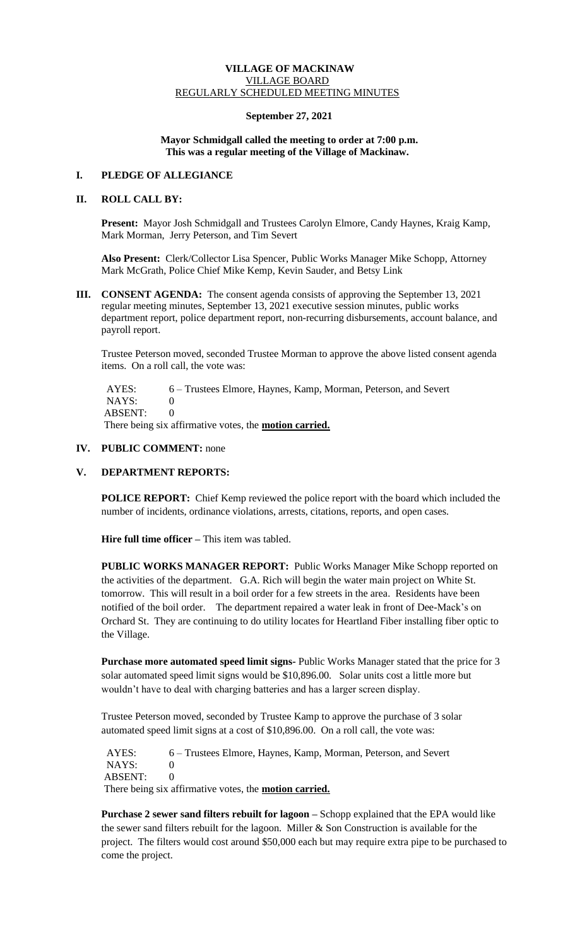# **VILLAGE OF MACKINAW** VILLAGE BOARD REGULARLY SCHEDULED MEETING MINUTES

### **September 27, 2021**

### **Mayor Schmidgall called the meeting to order at 7:00 p.m. This was a regular meeting of the Village of Mackinaw.**

### **I. PLEDGE OF ALLEGIANCE**

# **II. ROLL CALL BY:**

**Present:** Mayor Josh Schmidgall and Trustees Carolyn Elmore, Candy Haynes, Kraig Kamp, Mark Morman, Jerry Peterson, and Tim Severt

**Also Present:** Clerk/Collector Lisa Spencer, Public Works Manager Mike Schopp, Attorney Mark McGrath, Police Chief Mike Kemp, Kevin Sauder, and Betsy Link

**III. CONSENT AGENDA:** The consent agenda consists of approving the September 13, 2021 regular meeting minutes, September 13, 2021 executive session minutes, public works department report, police department report, non-recurring disbursements, account balance, and payroll report.

Trustee Peterson moved, seconded Trustee Morman to approve the above listed consent agenda items. On a roll call, the vote was:

AYES: 6 – Trustees Elmore, Haynes, Kamp, Morman, Peterson, and Severt NAYS: 0 ABSENT: 0

There being six affirmative votes, the **motion carried.**

### **IV. PUBLIC COMMENT:** none

# **V. DEPARTMENT REPORTS:**

**POLICE REPORT:** Chief Kemp reviewed the police report with the board which included the number of incidents, ordinance violations, arrests, citations, reports, and open cases.

**Hire full time officer –** This item was tabled.

**PUBLIC WORKS MANAGER REPORT:** Public Works Manager Mike Schopp reported on the activities of the department. G.A. Rich will begin the water main project on White St. tomorrow. This will result in a boil order for a few streets in the area. Residents have been notified of the boil order. The department repaired a water leak in front of Dee-Mack's on Orchard St. They are continuing to do utility locates for Heartland Fiber installing fiber optic to the Village.

**Purchase more automated speed limit signs-** Public Works Manager stated that the price for 3 solar automated speed limit signs would be \$10,896.00. Solar units cost a little more but wouldn't have to deal with charging batteries and has a larger screen display.

Trustee Peterson moved, seconded by Trustee Kamp to approve the purchase of 3 solar automated speed limit signs at a cost of \$10,896.00. On a roll call, the vote was:

 AYES: 6 – Trustees Elmore, Haynes, Kamp, Morman, Peterson, and Severt NAYS: 0 ABSENT: 0 There being six affirmative votes, the **motion carried.**

**Purchase 2 sewer sand filters rebuilt for lagoon –** Schopp explained that the EPA would like the sewer sand filters rebuilt for the lagoon. Miller  $&$  Son Construction is available for the project. The filters would cost around \$50,000 each but may require extra pipe to be purchased to come the project.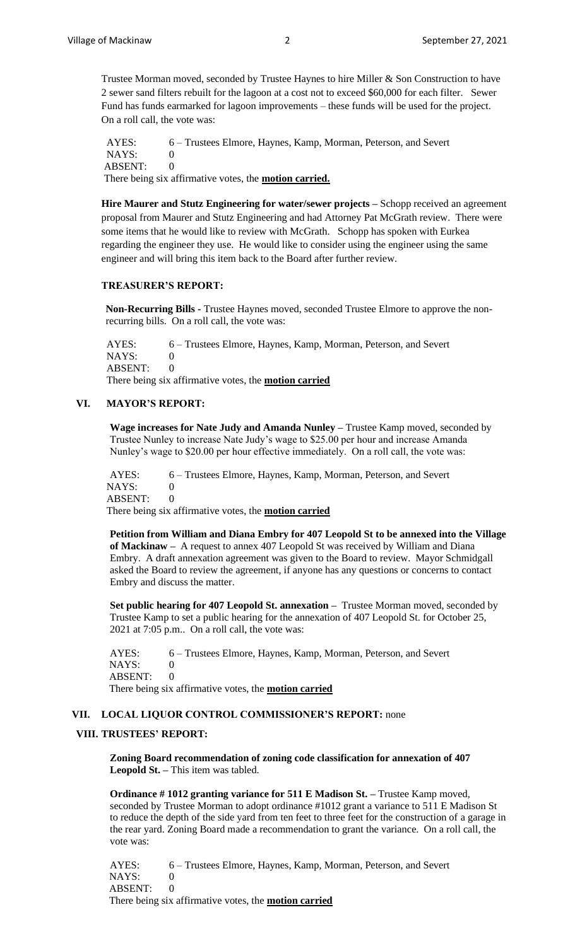Trustee Morman moved, seconded by Trustee Haynes to hire Miller & Son Construction to have 2 sewer sand filters rebuilt for the lagoon at a cost not to exceed \$60,000 for each filter. Sewer Fund has funds earmarked for lagoon improvements – these funds will be used for the project. On a roll call, the vote was:

 AYES: 6 – Trustees Elmore, Haynes, Kamp, Morman, Peterson, and Severt NAYS: 0 ABSENT: 0 There being six affirmative votes, the **motion carried.**

**Hire Maurer and Stutz Engineering for water/sewer projects –** Schopp received an agreement proposal from Maurer and Stutz Engineering and had Attorney Pat McGrath review. There were some items that he would like to review with McGrath. Schopp has spoken with Eurkea regarding the engineer they use. He would like to consider using the engineer using the same engineer and will bring this item back to the Board after further review.

### **TREASURER'S REPORT:**

**Non-Recurring Bills -** Trustee Haynes moved, seconded Trustee Elmore to approve the nonrecurring bills. On a roll call, the vote was:

 AYES: 6 – Trustees Elmore, Haynes, Kamp, Morman, Peterson, and Severt  $NAYS: 0$ ABSENT: 0 There being six affirmative votes, the **motion carried**

### **VI. MAYOR'S REPORT:**

**Wage increases for Nate Judy and Amanda Nunley –** Trustee Kamp moved, seconded by Trustee Nunley to increase Nate Judy's wage to \$25.00 per hour and increase Amanda Nunley's wage to \$20.00 per hour effective immediately. On a roll call, the vote was:

AYES: 6 – Trustees Elmore, Haynes, Kamp, Morman, Peterson, and Severt NAYS: 0 ABSENT: 0 There being six affirmative votes, the **motion carried**

**Petition from William and Diana Embry for 407 Leopold St to be annexed into the Village of Mackinaw –** A request to annex 407 Leopold St was received by William and Diana Embry. A draft annexation agreement was given to the Board to review. Mayor Schmidgall asked the Board to review the agreement, if anyone has any questions or concerns to contact Embry and discuss the matter.

**Set public hearing for 407 Leopold St. annexation –** Trustee Morman moved, seconded by Trustee Kamp to set a public hearing for the annexation of 407 Leopold St. for October 25, 2021 at 7:05 p.m.. On a roll call, the vote was:

AYES: 6 – Trustees Elmore, Haynes, Kamp, Morman, Peterson, and Severt NAYS: 0 ABSENT: 0 There being six affirmative votes, the **motion carried**

#### **VII. LOCAL LIQUOR CONTROL COMMISSIONER'S REPORT:** none

# **VIII. TRUSTEES' REPORT:**

**Zoning Board recommendation of zoning code classification for annexation of 407 Leopold St. –** This item was tabled.

**Ordinance # 1012 granting variance for 511 E Madison St. –** Trustee Kamp moved, seconded by Trustee Morman to adopt ordinance #1012 grant a variance to 511 E Madison St to reduce the depth of the side yard from ten feet to three feet for the construction of a garage in the rear yard. Zoning Board made a recommendation to grant the variance. On a roll call, the vote was:

AYES: 6 – Trustees Elmore, Haynes, Kamp, Morman, Peterson, and Severt NAYS: 0 ABSENT: 0 There being six affirmative votes, the **motion carried**